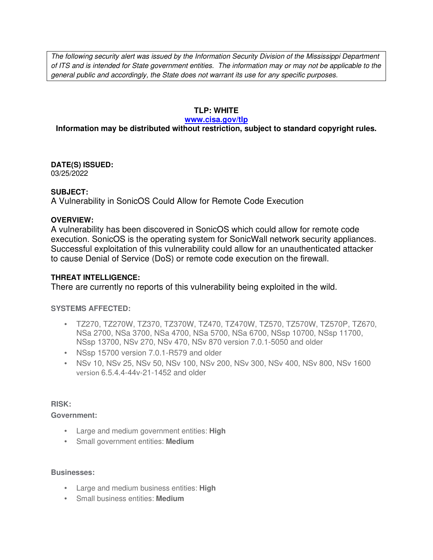The following security alert was issued by the Information Security Division of the Mississippi Department of ITS and is intended for State government entities. The information may or may not be applicable to the general public and accordingly, the State does not warrant its use for any specific purposes.

## **TLP: WHITE**

#### **www.cisa.gov/tlp**

# **Information may be distributed without restriction, subject to standard copyright rules.**

**DATE(S) ISSUED:** 03/25/2022

## **SUBJECT:**

A Vulnerability in SonicOS Could Allow for Remote Code Execution

### **OVERVIEW:**

A vulnerability has been discovered in SonicOS which could allow for remote code execution. SonicOS is the operating system for SonicWall network security appliances. Successful exploitation of this vulnerability could allow for an unauthenticated attacker to cause Denial of Service (DoS) or remote code execution on the firewall.

## **THREAT INTELLIGENCE:**

There are currently no reports of this vulnerability being exploited in the wild.

## **SYSTEMS AFFECTED:**

- TZ270, TZ270W, TZ370, TZ370W, TZ470, TZ470W, TZ570, TZ570W, TZ570P, TZ670, NSa 2700, NSa 3700, NSa 4700, NSa 5700, NSa 6700, NSsp 10700, NSsp 11700, NSsp 13700, NSv 270, NSv 470, NSv 870 version 7.0.1-5050 and older
- NSsp 15700 version 7.0.1-R579 and older
- NSv 10, NSv 25, NSv 50, NSv 100, NSv 200, NSv 300, NSv 400, NSv 800, NSv 1600 version 6.5.4.4-44v-21-1452 and older

#### **RISK:**

#### **Government:**

- Large and medium government entities: **High**
- Small government entities: **Medium**

#### **Businesses:**

- Large and medium business entities: **High**
- Small business entities: **Medium**